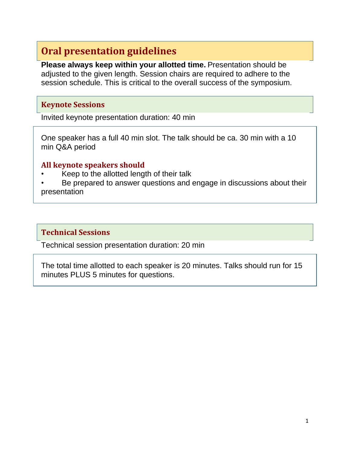# **Oral presentation guidelines**

**Please always keep within your allotted time.** Presentation should be adjusted to the given length. Session chairs are required to adhere to the session schedule. This is critical to the overall success of the symposium.

#### **Keynote Sessions**

Invited keynote presentation duration: 40 min

One speaker has a full 40 min slot. The talk should be ca. 30 min with a 10 min Q&A period

#### **All keynote speakers should**

- Keep to the allotted length of their talk
- Be prepared to answer questions and engage in discussions about their presentation

#### **Technical Sessions**

Technical session presentation duration: 20 min

The total time allotted to each speaker is 20 minutes. Talks should run for 15 minutes PLUS 5 minutes for questions.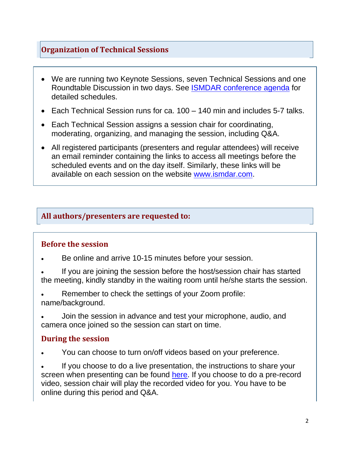# **Organization of Technical Sessions**

- We are running two Keynote Sessions, seven Technical Sessions and one Roundtable Discussion in two days. See ISMDAR [conference](https://express.converia.de/frontend/index.php?folder_id=4419&page_id=) agenda for detailed schedules.
- Each Technical Session runs for ca. 100 140 min and includes 5-7 talks.
- Each Technical Session assigns a session chair for coordinating, moderating, organizing, and managing the session, including Q&A.
- All registered participants (presenters and regular attendees) will receive an email reminder containing the links to access all meetings before the scheduled events and on the day itself. Similarly, these links will be available on each session on the website [www.ismdar.com.](http://www.ismdar.com/)

#### **All authors/presenters are requested to:**

#### **Before the session**

- Be online and arrive 10-15 minutes before your session.
- If you are joining the session before the host/session chair has started the meeting, kindly standby in the waiting room until he/she starts the session.
- Remember to check the settings of your Zoom profile: name/background.
- Join the session in advance and test your microphone, audio, and camera once joined so the session can start on time.

#### **During the session**

• You can choose to turn on/off videos based on your preference.

If you choose to do a live presentation, the instructions to share your screen when presenting can be found [here.](https://support.zoom.us/hc/en-us/articles/201362153-Sharing-your-screen-content-or-second-camera) If you choose to do a pre-record video, session chair will play the recorded video for you. You have to be online during this period and Q&A.